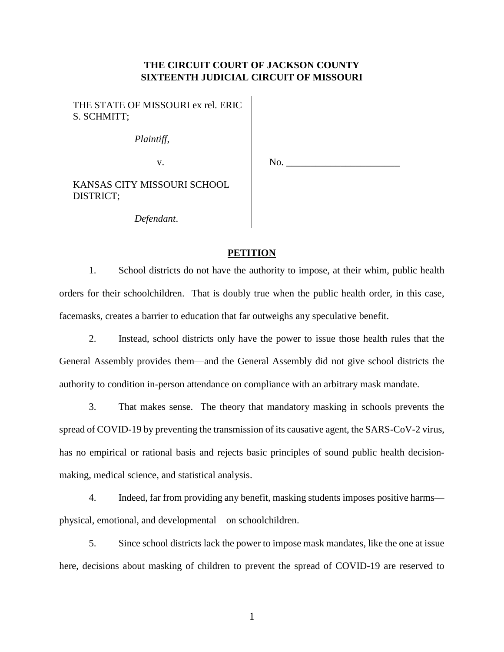# **THE CIRCUIT COURT OF JACKSON COUNTY SIXTEENTH JUDICIAL CIRCUIT OF MISSOURI**

 $\mathbf{I}$ 

| THE STATE OF MISSOURI ex rel. ERIC<br>S. SCHMITT; |     |
|---------------------------------------------------|-----|
| Plaintiff,                                        |     |
| v.                                                | No. |
| KANSAS CITY MISSOURI SCHOOL<br>DISTRICT;          |     |
| Defendant.                                        |     |

### **PETITION**

1. School districts do not have the authority to impose, at their whim, public health orders for their schoolchildren. That is doubly true when the public health order, in this case, facemasks, creates a barrier to education that far outweighs any speculative benefit.

2. Instead, school districts only have the power to issue those health rules that the General Assembly provides them—and the General Assembly did not give school districts the authority to condition in-person attendance on compliance with an arbitrary mask mandate.

3. That makes sense. The theory that mandatory masking in schools prevents the spread of COVID-19 by preventing the transmission of its causative agent, the SARS-CoV-2 virus, has no empirical or rational basis and rejects basic principles of sound public health decisionmaking, medical science, and statistical analysis.

4. Indeed, far from providing any benefit, masking students imposes positive harms physical, emotional, and developmental—on schoolchildren.

5. Since school districts lack the power to impose mask mandates, like the one at issue here, decisions about masking of children to prevent the spread of COVID-19 are reserved to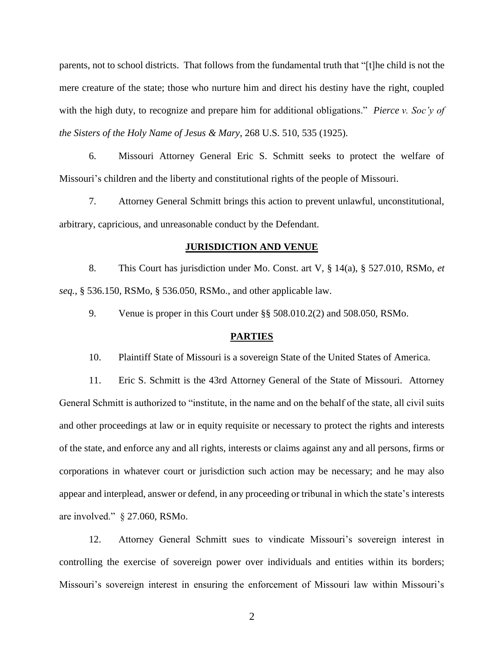parents, not to school districts. That follows from the fundamental truth that "[t]he child is not the mere creature of the state; those who nurture him and direct his destiny have the right, coupled with the high duty, to recognize and prepare him for additional obligations." *Pierce v. Soc'y of the Sisters of the Holy Name of Jesus & Mary*, 268 U.S. 510, 535 (1925).

6. Missouri Attorney General Eric S. Schmitt seeks to protect the welfare of Missouri's children and the liberty and constitutional rights of the people of Missouri.

7. Attorney General Schmitt brings this action to prevent unlawful, unconstitutional, arbitrary, capricious, and unreasonable conduct by the Defendant.

## **JURISDICTION AND VENUE**

8. This Court has jurisdiction under Mo. Const. art V, § 14(a), § 527.010, RSMo, *et seq.*, § 536.150, RSMo, § 536.050, RSMo., and other applicable law.

9. Venue is proper in this Court under §§ 508.010.2(2) and 508.050, RSMo.

#### **PARTIES**

10. Plaintiff State of Missouri is a sovereign State of the United States of America.

11. Eric S. Schmitt is the 43rd Attorney General of the State of Missouri. Attorney General Schmitt is authorized to "institute, in the name and on the behalf of the state, all civil suits and other proceedings at law or in equity requisite or necessary to protect the rights and interests of the state, and enforce any and all rights, interests or claims against any and all persons, firms or corporations in whatever court or jurisdiction such action may be necessary; and he may also appear and interplead, answer or defend, in any proceeding or tribunal in which the state's interests are involved." § 27.060, RSMo.

12. Attorney General Schmitt sues to vindicate Missouri's sovereign interest in controlling the exercise of sovereign power over individuals and entities within its borders; Missouri's sovereign interest in ensuring the enforcement of Missouri law within Missouri's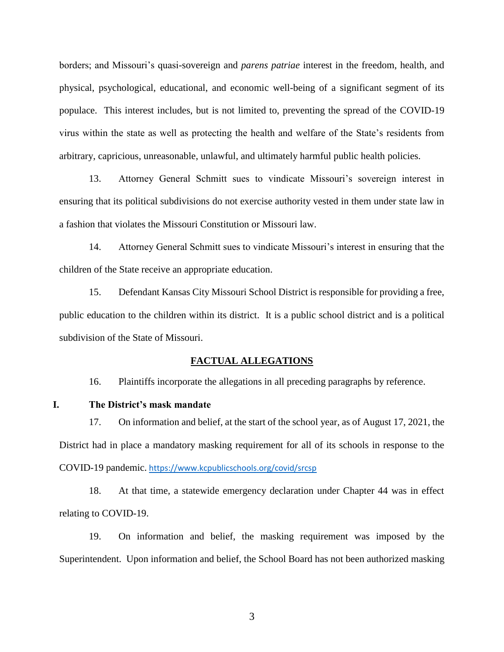borders; and Missouri's quasi-sovereign and *parens patriae* interest in the freedom, health, and physical, psychological, educational, and economic well-being of a significant segment of its populace. This interest includes, but is not limited to, preventing the spread of the COVID-19 virus within the state as well as protecting the health and welfare of the State's residents from arbitrary, capricious, unreasonable, unlawful, and ultimately harmful public health policies.

13. Attorney General Schmitt sues to vindicate Missouri's sovereign interest in ensuring that its political subdivisions do not exercise authority vested in them under state law in a fashion that violates the Missouri Constitution or Missouri law.

14. Attorney General Schmitt sues to vindicate Missouri's interest in ensuring that the children of the State receive an appropriate education.

15. Defendant Kansas City Missouri School District is responsible for providing a free, public education to the children within its district. It is a public school district and is a political subdivision of the State of Missouri.

#### **FACTUAL ALLEGATIONS**

16. Plaintiffs incorporate the allegations in all preceding paragraphs by reference.

## **I. The District's mask mandate**

17. On information and belief, at the start of the school year, as of August 17, 2021, the District had in place a mandatory masking requirement for all of its schools in response to the COVID-19 pandemic. <https://www.kcpublicschools.org/covid/srcsp>

18. At that time, a statewide emergency declaration under Chapter 44 was in effect relating to COVID-19.

19. On information and belief, the masking requirement was imposed by the Superintendent. Upon information and belief, the School Board has not been authorized masking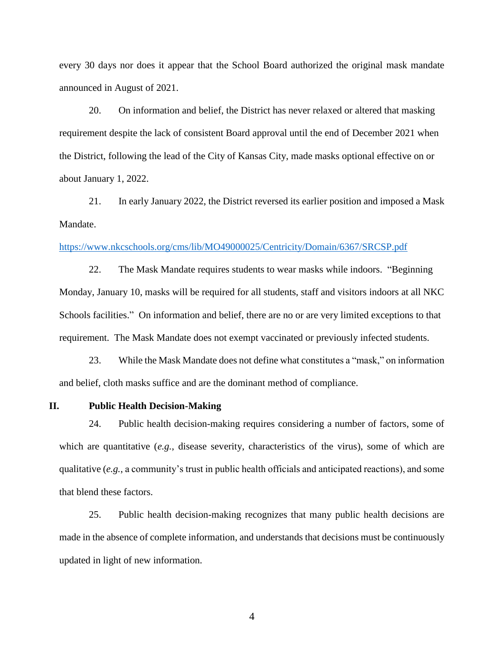every 30 days nor does it appear that the School Board authorized the original mask mandate announced in August of 2021.

20. On information and belief, the District has never relaxed or altered that masking requirement despite the lack of consistent Board approval until the end of December 2021 when the District, following the lead of the City of Kansas City, made masks optional effective on or about January 1, 2022.

21. In early January 2022, the District reversed its earlier position and imposed a Mask Mandate.

#### <https://www.nkcschools.org/cms/lib/MO49000025/Centricity/Domain/6367/SRCSP.pdf>

22. The Mask Mandate requires students to wear masks while indoors. "Beginning Monday, January 10, masks will be required for all students, staff and visitors indoors at all NKC Schools facilities." On information and belief, there are no or are very limited exceptions to that requirement. The Mask Mandate does not exempt vaccinated or previously infected students.

23. While the Mask Mandate does not define what constitutes a "mask," on information and belief, cloth masks suffice and are the dominant method of compliance.

**II. Public Health Decision-Making**

24. Public health decision-making requires considering a number of factors, some of which are quantitative (*e.g.*, disease severity, characteristics of the virus), some of which are qualitative (*e.g.*, a community's trust in public health officials and anticipated reactions), and some that blend these factors.

25. Public health decision-making recognizes that many public health decisions are made in the absence of complete information, and understands that decisions must be continuously updated in light of new information.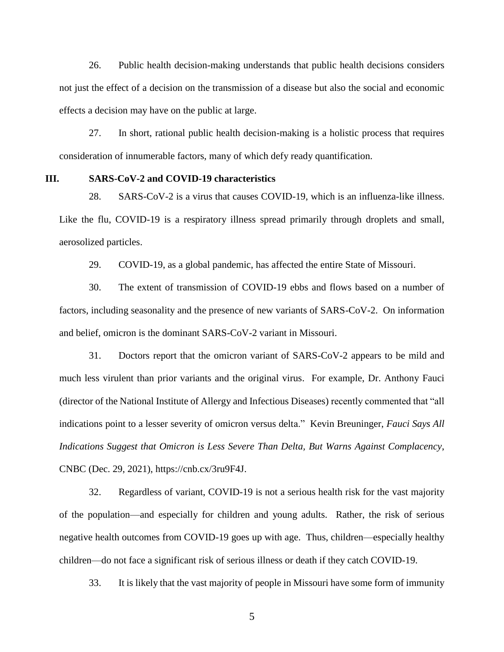26. Public health decision-making understands that public health decisions considers not just the effect of a decision on the transmission of a disease but also the social and economic effects a decision may have on the public at large.

27. In short, rational public health decision-making is a holistic process that requires consideration of innumerable factors, many of which defy ready quantification.

### **III. SARS-CoV-2 and COVID-19 characteristics**

28. SARS-CoV-2 is a virus that causes COVID-19, which is an influenza-like illness. Like the flu, COVID-19 is a respiratory illness spread primarily through droplets and small, aerosolized particles.

29. COVID-19, as a global pandemic, has affected the entire State of Missouri.

30. The extent of transmission of COVID-19 ebbs and flows based on a number of factors, including seasonality and the presence of new variants of SARS-CoV-2. On information and belief, omicron is the dominant SARS-CoV-2 variant in Missouri.

31. Doctors report that the omicron variant of SARS-CoV-2 appears to be mild and much less virulent than prior variants and the original virus. For example, Dr. Anthony Fauci (director of the National Institute of Allergy and Infectious Diseases) recently commented that "all indications point to a lesser severity of omicron versus delta." Kevin Breuninger, *Fauci Says All Indications Suggest that Omicron is Less Severe Than Delta, But Warns Against Complacency*, CNBC (Dec. 29, 2021), https://cnb.cx/3ru9F4J.

32. Regardless of variant, COVID-19 is not a serious health risk for the vast majority of the population—and especially for children and young adults. Rather, the risk of serious negative health outcomes from COVID-19 goes up with age. Thus, children—especially healthy children—do not face a significant risk of serious illness or death if they catch COVID-19.

33. It is likely that the vast majority of people in Missouri have some form of immunity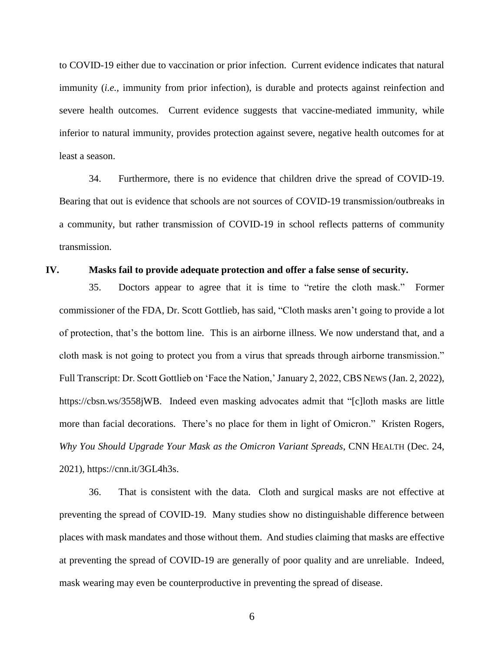to COVID-19 either due to vaccination or prior infection. Current evidence indicates that natural immunity (*i.e.*, immunity from prior infection), is durable and protects against reinfection and severe health outcomes. Current evidence suggests that vaccine-mediated immunity, while inferior to natural immunity, provides protection against severe, negative health outcomes for at least a season.

34. Furthermore, there is no evidence that children drive the spread of COVID-19. Bearing that out is evidence that schools are not sources of COVID-19 transmission/outbreaks in a community, but rather transmission of COVID-19 in school reflects patterns of community transmission.

### **IV. Masks fail to provide adequate protection and offer a false sense of security.**

35. Doctors appear to agree that it is time to "retire the cloth mask." Former commissioner of the FDA, Dr. Scott Gottlieb, has said, "Cloth masks aren't going to provide a lot of protection, that's the bottom line. This is an airborne illness. We now understand that, and a cloth mask is not going to protect you from a virus that spreads through airborne transmission." Full Transcript: Dr. Scott Gottlieb on 'Face the Nation,' January 2, 2022, CBS NEWS (Jan. 2, 2022), https://cbsn.ws/3558jWB. Indeed even masking advocates admit that "[c]loth masks are little more than facial decorations. There's no place for them in light of Omicron." Kristen Rogers, *Why You Should Upgrade Your Mask as the Omicron Variant Spreads*, CNN HEALTH (Dec. 24, 2021), https://cnn.it/3GL4h3s.

36. That is consistent with the data. Cloth and surgical masks are not effective at preventing the spread of COVID-19. Many studies show no distinguishable difference between places with mask mandates and those without them. And studies claiming that masks are effective at preventing the spread of COVID-19 are generally of poor quality and are unreliable. Indeed, mask wearing may even be counterproductive in preventing the spread of disease.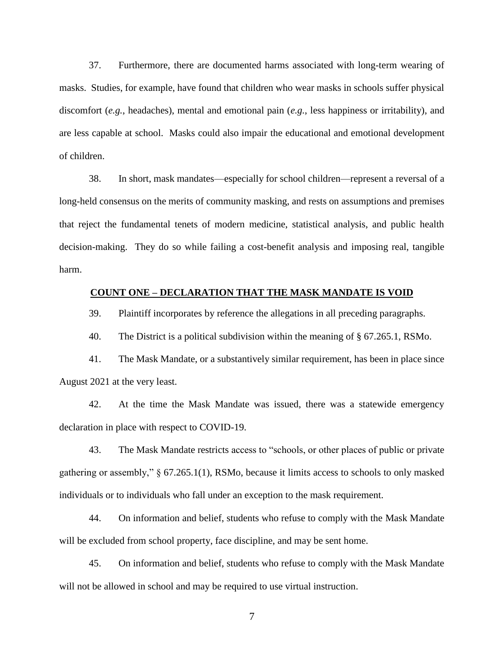37. Furthermore, there are documented harms associated with long-term wearing of masks. Studies, for example, have found that children who wear masks in schools suffer physical discomfort (*e.g.*, headaches), mental and emotional pain (*e.g.*, less happiness or irritability), and are less capable at school. Masks could also impair the educational and emotional development of children.

38. In short, mask mandates—especially for school children—represent a reversal of a long-held consensus on the merits of community masking, and rests on assumptions and premises that reject the fundamental tenets of modern medicine, statistical analysis, and public health decision-making. They do so while failing a cost-benefit analysis and imposing real, tangible harm.

## **COUNT ONE – DECLARATION THAT THE MASK MANDATE IS VOID**

39. Plaintiff incorporates by reference the allegations in all preceding paragraphs.

40. The District is a political subdivision within the meaning of § 67.265.1, RSMo.

41. The Mask Mandate, or a substantively similar requirement, has been in place since August 2021 at the very least.

42. At the time the Mask Mandate was issued, there was a statewide emergency declaration in place with respect to COVID-19.

43. The Mask Mandate restricts access to "schools, or other places of public or private gathering or assembly," § 67.265.1(1), RSMo, because it limits access to schools to only masked individuals or to individuals who fall under an exception to the mask requirement.

44. On information and belief, students who refuse to comply with the Mask Mandate will be excluded from school property, face discipline, and may be sent home.

45. On information and belief, students who refuse to comply with the Mask Mandate will not be allowed in school and may be required to use virtual instruction.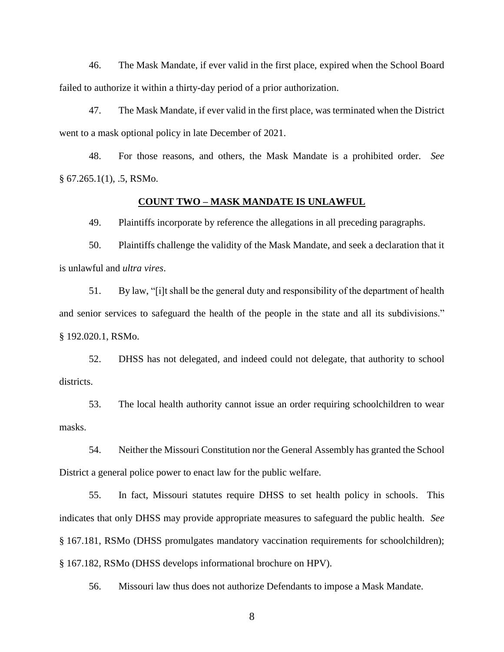46. The Mask Mandate, if ever valid in the first place, expired when the School Board failed to authorize it within a thirty-day period of a prior authorization.

47. The Mask Mandate, if ever valid in the first place, was terminated when the District went to a mask optional policy in late December of 2021.

48. For those reasons, and others, the Mask Mandate is a prohibited order. *See*   $§ 67.265.1(1), .5, RSMo.$ 

#### **COUNT TWO – MASK MANDATE IS UNLAWFUL**

49. Plaintiffs incorporate by reference the allegations in all preceding paragraphs.

50. Plaintiffs challenge the validity of the Mask Mandate, and seek a declaration that it is unlawful and *ultra vires*.

51. By law, "[i]t shall be the general duty and responsibility of the department of health and senior services to safeguard the health of the people in the state and all its subdivisions." § 192.020.1, RSMo.

52. DHSS has not delegated, and indeed could not delegate, that authority to school districts.

53. The local health authority cannot issue an order requiring schoolchildren to wear masks.

54. Neither the Missouri Constitution nor the General Assembly has granted the School District a general police power to enact law for the public welfare.

55. In fact, Missouri statutes require DHSS to set health policy in schools. This indicates that only DHSS may provide appropriate measures to safeguard the public health. *See*  § 167.181, RSMo (DHSS promulgates mandatory vaccination requirements for schoolchildren); § 167.182, RSMo (DHSS develops informational brochure on HPV).

56. Missouri law thus does not authorize Defendants to impose a Mask Mandate.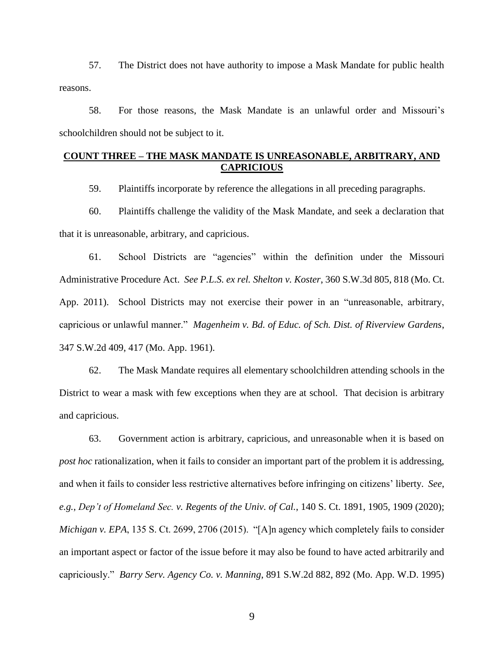57. The District does not have authority to impose a Mask Mandate for public health reasons.

58. For those reasons, the Mask Mandate is an unlawful order and Missouri's schoolchildren should not be subject to it.

# **COUNT THREE – THE MASK MANDATE IS UNREASONABLE, ARBITRARY, AND CAPRICIOUS**

59. Plaintiffs incorporate by reference the allegations in all preceding paragraphs.

60. Plaintiffs challenge the validity of the Mask Mandate, and seek a declaration that that it is unreasonable, arbitrary, and capricious.

61. School Districts are "agencies" within the definition under the Missouri Administrative Procedure Act. *See P.L.S. ex rel. Shelton v. Koster*, 360 S.W.3d 805, 818 (Mo. Ct. App. 2011). School Districts may not exercise their power in an "unreasonable, arbitrary, capricious or unlawful manner." *Magenheim v. Bd. of Educ. of Sch. Dist. of Riverview Gardens*, 347 S.W.2d 409, 417 (Mo. App. 1961).

62. The Mask Mandate requires all elementary schoolchildren attending schools in the District to wear a mask with few exceptions when they are at school. That decision is arbitrary and capricious.

63. Government action is arbitrary, capricious, and unreasonable when it is based on *post hoc* rationalization, when it fails to consider an important part of the problem it is addressing, and when it fails to consider less restrictive alternatives before infringing on citizens' liberty. *See*, *e.g.*, *Dep't of Homeland Sec. v. Regents of the Univ. of Cal.*, 140 S. Ct. 1891, 1905, 1909 (2020); *Michigan v. EPA*, 135 S. Ct. 2699, 2706 (2015). "[A]n agency which completely fails to consider an important aspect or factor of the issue before it may also be found to have acted arbitrarily and capriciously." *Barry Serv. Agency Co. v. Manning*, 891 S.W.2d 882, 892 (Mo. App. W.D. 1995)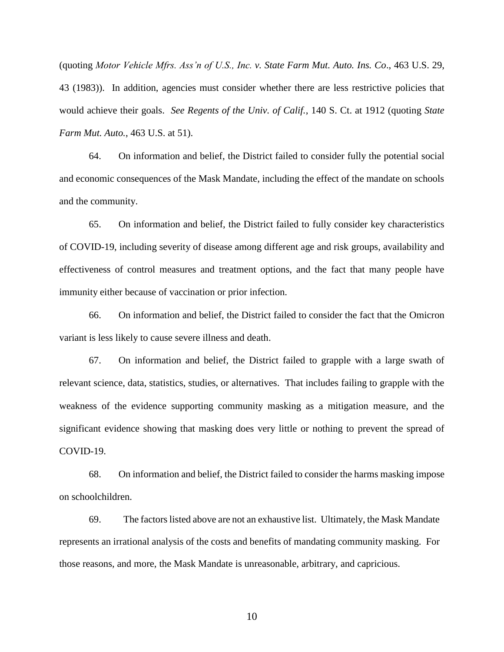(quoting *Motor Vehicle Mfrs. Ass'n of U.S., Inc. v. State Farm Mut. Auto. Ins. Co*., 463 U.S. 29, 43 (1983)). In addition, agencies must consider whether there are less restrictive policies that would achieve their goals. *See Regents of the Univ. of Calif.*, 140 S. Ct. at 1912 (quoting *State Farm Mut. Auto.*, 463 U.S. at 51).

64. On information and belief, the District failed to consider fully the potential social and economic consequences of the Mask Mandate, including the effect of the mandate on schools and the community.

65. On information and belief, the District failed to fully consider key characteristics of COVID-19, including severity of disease among different age and risk groups, availability and effectiveness of control measures and treatment options, and the fact that many people have immunity either because of vaccination or prior infection.

66. On information and belief, the District failed to consider the fact that the Omicron variant is less likely to cause severe illness and death.

67. On information and belief, the District failed to grapple with a large swath of relevant science, data, statistics, studies, or alternatives. That includes failing to grapple with the weakness of the evidence supporting community masking as a mitigation measure, and the significant evidence showing that masking does very little or nothing to prevent the spread of COVID-19.

68. On information and belief, the District failed to consider the harms masking impose on schoolchildren.

69. The factors listed above are not an exhaustive list. Ultimately, the Mask Mandate represents an irrational analysis of the costs and benefits of mandating community masking. For those reasons, and more, the Mask Mandate is unreasonable, arbitrary, and capricious.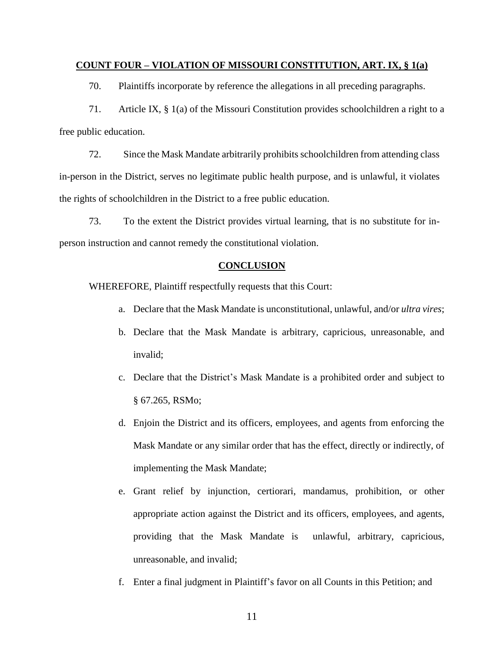### **COUNT FOUR – VIOLATION OF MISSOURI CONSTITUTION, ART. IX, § 1(a)**

70. Plaintiffs incorporate by reference the allegations in all preceding paragraphs.

71. Article IX, § 1(a) of the Missouri Constitution provides schoolchildren a right to a free public education.

72. Since the Mask Mandate arbitrarily prohibits schoolchildren from attending class in-person in the District, serves no legitimate public health purpose, and is unlawful, it violates the rights of schoolchildren in the District to a free public education.

73. To the extent the District provides virtual learning, that is no substitute for inperson instruction and cannot remedy the constitutional violation.

### **CONCLUSION**

WHEREFORE, Plaintiff respectfully requests that this Court:

- a. Declare that the Mask Mandate is unconstitutional, unlawful, and/or *ultra vires*;
- b. Declare that the Mask Mandate is arbitrary, capricious, unreasonable, and invalid;
- c. Declare that the District's Mask Mandate is a prohibited order and subject to § 67.265, RSMo;
- d. Enjoin the District and its officers, employees, and agents from enforcing the Mask Mandate or any similar order that has the effect, directly or indirectly, of implementing the Mask Mandate;
- e. Grant relief by injunction, certiorari, mandamus, prohibition, or other appropriate action against the District and its officers, employees, and agents, providing that the Mask Mandate is unlawful, arbitrary, capricious, unreasonable, and invalid;
- f. Enter a final judgment in Plaintiff's favor on all Counts in this Petition; and